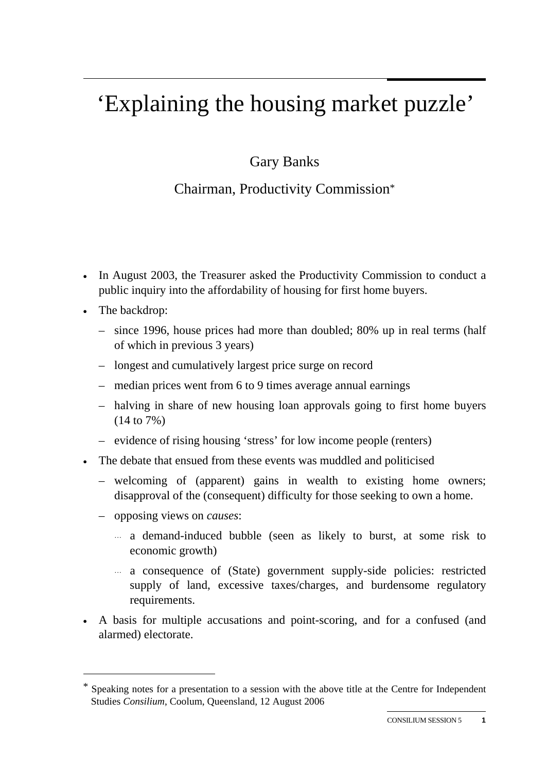## 'Explaining the housing market puzzle'

## Gary Banks

## Chairman, Productivity Commission\*

- In August 2003, the Treasurer asked the Productivity Commission to conduct a public inquiry into the affordability of housing for first home buyers.
- The backdrop:

 $\overline{a}$ 

- since 1996, house prices had more than doubled; 80% up in real terms (half of which in previous 3 years)
- longest and cumulatively largest price surge on record
- median prices went from 6 to 9 times average annual earnings
- halving in share of new housing loan approvals going to first home buyers (14 to 7%)
- evidence of rising housing 'stress' for low income people (renters)
- The debate that ensued from these events was muddled and politicised
	- welcoming of (apparent) gains in wealth to existing home owners; disapproval of the (consequent) difficulty for those seeking to own a home.
	- opposing views on *causes*:
		- ... a demand-induced bubble (seen as likely to burst, at some risk to economic growth)
		- ... a consequence of (State) government supply-side policies: restricted supply of land, excessive taxes/charges, and burdensome regulatory requirements.
- A basis for multiple accusations and point-scoring, and for a confused (and alarmed) electorate.

Speaking notes for a presentation to a session with the above title at the Centre for Independent Studies *Consilium*, Coolum, Queensland, 12 August 2006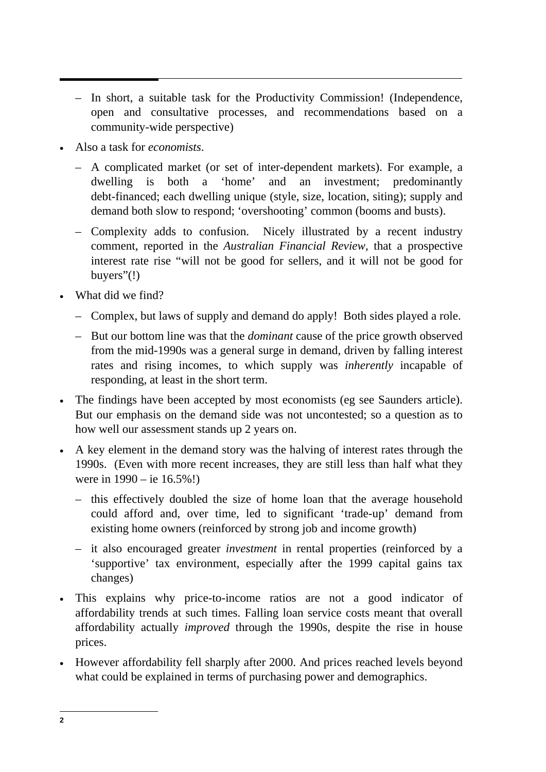- In short, a suitable task for the Productivity Commission! (Independence, open and consultative processes, and recommendations based on a community-wide perspective)
- Also a task for *economists*.
	- A complicated market (or set of inter-dependent markets). For example, a dwelling is both a 'home' and an investment; predominantly debt-financed; each dwelling unique (style, size, location, siting); supply and demand both slow to respond; 'overshooting' common (booms and busts).
	- Complexity adds to confusion. Nicely illustrated by a recent industry comment, reported in the *Australian Financial Review*, that a prospective interest rate rise "will not be good for sellers, and it will not be good for buyers"(!)
- What did we find?
	- Complex, but laws of supply and demand do apply! Both sides played a role.
	- But our bottom line was that the *dominant* cause of the price growth observed from the mid-1990s was a general surge in demand, driven by falling interest rates and rising incomes, to which supply was *inherently* incapable of responding, at least in the short term.
- The findings have been accepted by most economists (eg see Saunders article). But our emphasis on the demand side was not uncontested; so a question as to how well our assessment stands up 2 years on.
- A key element in the demand story was the halving of interest rates through the 1990s. (Even with more recent increases, they are still less than half what they were in 1990 – ie 16.5%!)
	- this effectively doubled the size of home loan that the average household could afford and, over time, led to significant 'trade-up' demand from existing home owners (reinforced by strong job and income growth)
	- it also encouraged greater *investment* in rental properties (reinforced by a 'supportive' tax environment, especially after the 1999 capital gains tax changes)
- This explains why price-to-income ratios are not a good indicator of affordability trends at such times. Falling loan service costs meant that overall affordability actually *improved* through the 1990s, despite the rise in house prices.
- However affordability fell sharply after 2000. And prices reached levels beyond what could be explained in terms of purchasing power and demographics.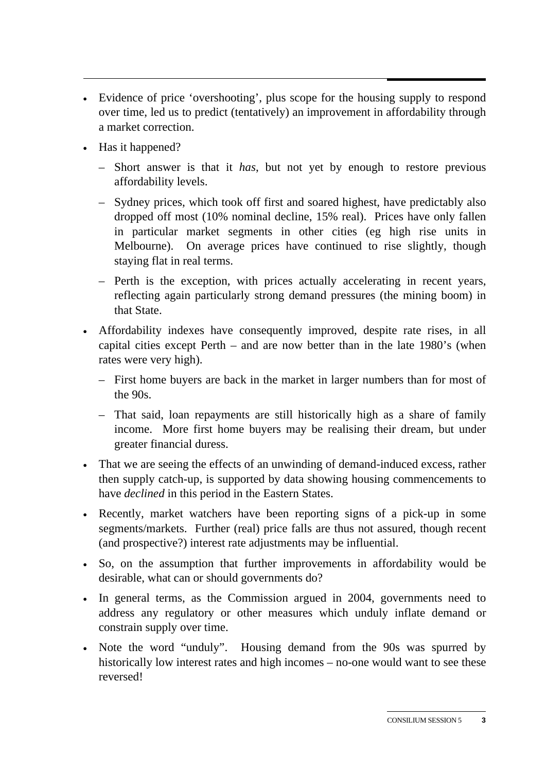- Evidence of price 'overshooting', plus scope for the housing supply to respond over time, led us to predict (tentatively) an improvement in affordability through a market correction.
- Has it happened?
	- Short answer is that it *has*, but not yet by enough to restore previous affordability levels.
	- Sydney prices, which took off first and soared highest, have predictably also dropped off most (10% nominal decline, 15% real). Prices have only fallen in particular market segments in other cities (eg high rise units in Melbourne). On average prices have continued to rise slightly, though staying flat in real terms.
	- Perth is the exception, with prices actually accelerating in recent years, reflecting again particularly strong demand pressures (the mining boom) in that State.
- Affordability indexes have consequently improved, despite rate rises, in all capital cities except Perth – and are now better than in the late 1980's (when rates were very high).
	- First home buyers are back in the market in larger numbers than for most of the 90s.
	- That said, loan repayments are still historically high as a share of family income. More first home buyers may be realising their dream, but under greater financial duress.
- That we are seeing the effects of an unwinding of demand-induced excess, rather then supply catch-up, is supported by data showing housing commencements to have *declined* in this period in the Eastern States.
- Recently, market watchers have been reporting signs of a pick-up in some segments/markets. Further (real) price falls are thus not assured, though recent (and prospective?) interest rate adjustments may be influential.
- So, on the assumption that further improvements in affordability would be desirable, what can or should governments do?
- In general terms, as the Commission argued in 2004, governments need to address any regulatory or other measures which unduly inflate demand or constrain supply over time.
- Note the word "unduly". Housing demand from the 90s was spurred by historically low interest rates and high incomes – no-one would want to see these reversed!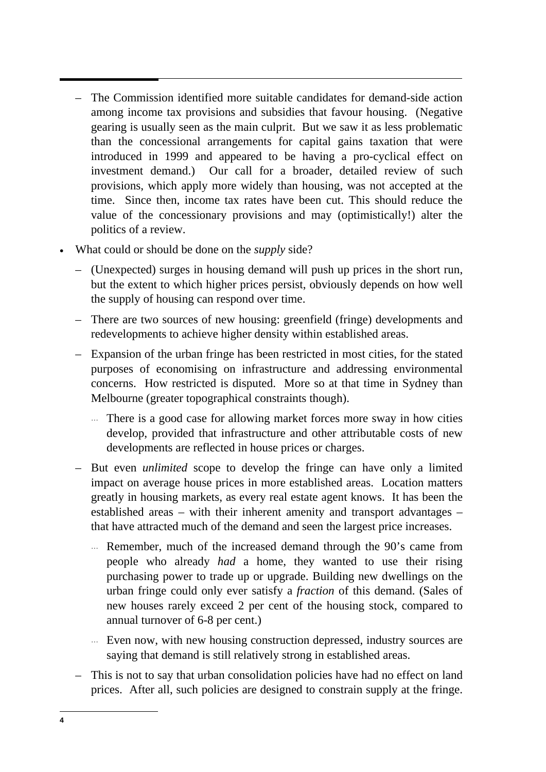- The Commission identified more suitable candidates for demand-side action among income tax provisions and subsidies that favour housing. (Negative gearing is usually seen as the main culprit. But we saw it as less problematic than the concessional arrangements for capital gains taxation that were introduced in 1999 and appeared to be having a pro-cyclical effect on investment demand.) Our call for a broader, detailed review of such provisions, which apply more widely than housing, was not accepted at the time. Since then, income tax rates have been cut. This should reduce the value of the concessionary provisions and may (optimistically!) alter the politics of a review.
- What could or should be done on the *supply* side?
	- (Unexpected) surges in housing demand will push up prices in the short run, but the extent to which higher prices persist, obviously depends on how well the supply of housing can respond over time.
	- There are two sources of new housing: greenfield (fringe) developments and redevelopments to achieve higher density within established areas.
	- Expansion of the urban fringe has been restricted in most cities, for the stated purposes of economising on infrastructure and addressing environmental concerns. How restricted is disputed. More so at that time in Sydney than Melbourne (greater topographical constraints though).
		- ... There is a good case for allowing market forces more sway in how cities develop, provided that infrastructure and other attributable costs of new developments are reflected in house prices or charges.
	- But even *unlimited* scope to develop the fringe can have only a limited impact on average house prices in more established areas. Location matters greatly in housing markets, as every real estate agent knows. It has been the established areas – with their inherent amenity and transport advantages – that have attracted much of the demand and seen the largest price increases.
		- ... Remember, much of the increased demand through the 90's came from people who already *had* a home, they wanted to use their rising purchasing power to trade up or upgrade. Building new dwellings on the urban fringe could only ever satisfy a *fraction* of this demand. (Sales of new houses rarely exceed 2 per cent of the housing stock, compared to annual turnover of 6-8 per cent.)
		- ... Even now, with new housing construction depressed, industry sources are saying that demand is still relatively strong in established areas.
	- This is not to say that urban consolidation policies have had no effect on land prices. After all, such policies are designed to constrain supply at the fringe.